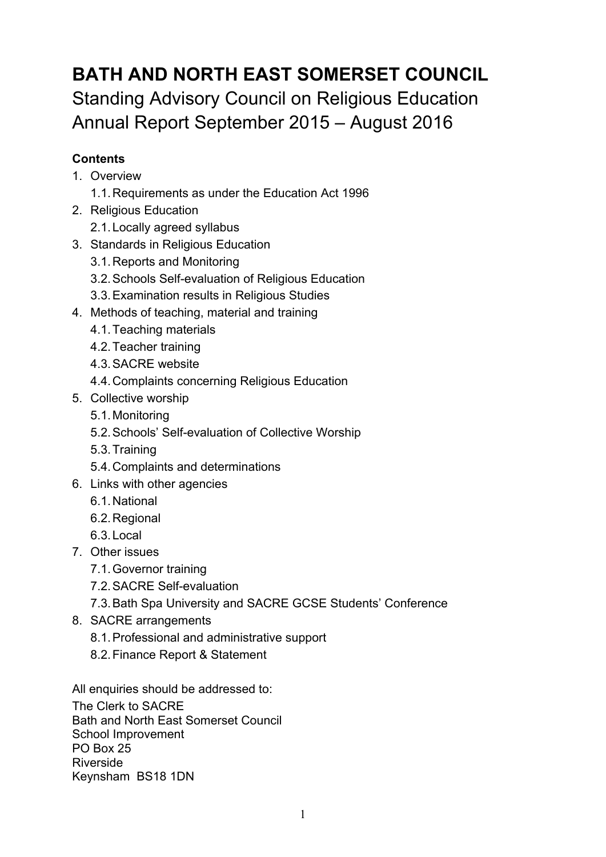# **BATH AND NORTH EAST SOMERSET COUNCIL** Standing Advisory Council on Religious Education Annual Report September 2015 – August 2016

## **Contents**

- 1. Overview
	- 1.1.Requirements as under the Education Act 1996
- 2. Religious Education
	- 2.1.Locally agreed syllabus
- 3. Standards in Religious Education
	- 3.1.Reports and Monitoring
	- 3.2.Schools Self-evaluation of Religious Education
	- 3.3.Examination results in Religious Studies
- 4. Methods of teaching, material and training
	- 4.1.Teaching materials
	- 4.2.Teacher training
	- 4.3.SACRE website
	- 4.4.Complaints concerning Religious Education
- 5. Collective worship
	- 5.1.Monitoring
	- 5.2.Schools' Self-evaluation of Collective Worship
	- 5.3.Training
	- 5.4.Complaints and determinations
- 6. Links with other agencies
	- 6.1.National
	- 6.2.Regional
	- 6.3.Local
- 7. Other issues
	- 7.1.Governor training
	- 7.2.SACRE Self-evaluation
	- 7.3.Bath Spa University and SACRE GCSE Students' Conference
- 8. SACRE arrangements
	- 8.1.Professional and administrative support
	- 8.2.Finance Report & Statement

All enquiries should be addressed to:

The Clerk to SACRE Bath and North East Somerset Council School Improvement PO Box 25 Riverside Keynsham BS18 1DN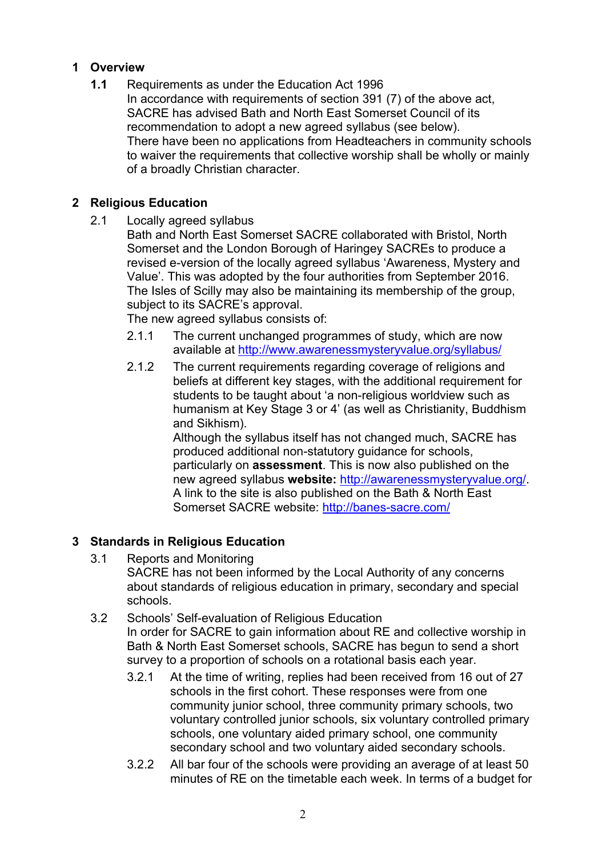### **1 Overview**

**1.1** Requirements as under the Education Act 1996 In accordance with requirements of section 391 (7) of the above act, SACRE has advised Bath and North East Somerset Council of its recommendation to adopt a new agreed syllabus (see below). There have been no applications from Headteachers in community schools to waiver the requirements that collective worship shall be wholly or mainly of a broadly Christian character.

### **2 Religious Education**

2.1 Locally agreed syllabus

Bath and North East Somerset SACRE collaborated with Bristol, North Somerset and the London Borough of Haringey SACREs to produce a revised e-version of the locally agreed syllabus 'Awareness, Mystery and Value'. This was adopted by the four authorities from September 2016. The Isles of Scilly may also be maintaining its membership of the group, subject to its SACRE's approval.

The new agreed syllabus consists of:

- 2.1.1 The current unchanged programmes of study, which are now available at http://www.awarenessmysteryvalue.org/syllabus/
- 2.1.2 The current requirements regarding coverage of religions and beliefs at different key stages, with the additional requirement for students to be taught about 'a non-religious worldview such as humanism at Key Stage 3 or 4' (as well as Christianity, Buddhism and Sikhism).

Although the syllabus itself has not changed much, SACRE has produced additional non-statutory guidance for schools, particularly on **assessment**. This is now also published on the new agreed syllabus **website:** http://awarenessmysteryvalue.org/. A link to the site is also published on the Bath & North East Somerset SACRE website: http://banes-sacre.com/

## **3 Standards in Religious Education**

- 3.1 Reports and Monitoring
	- SACRE has not been informed by the Local Authority of any concerns about standards of religious education in primary, secondary and special schools.
- 3.2 Schools' Self-evaluation of Religious Education In order for SACRE to gain information about RE and collective worship in Bath & North East Somerset schools, SACRE has begun to send a short survey to a proportion of schools on a rotational basis each year.
	- 3.2.1 At the time of writing, replies had been received from 16 out of 27 schools in the first cohort. These responses were from one community junior school, three community primary schools, two voluntary controlled junior schools, six voluntary controlled primary schools, one voluntary aided primary school, one community secondary school and two voluntary aided secondary schools.
	- 3.2.2 All bar four of the schools were providing an average of at least 50 minutes of RE on the timetable each week. In terms of a budget for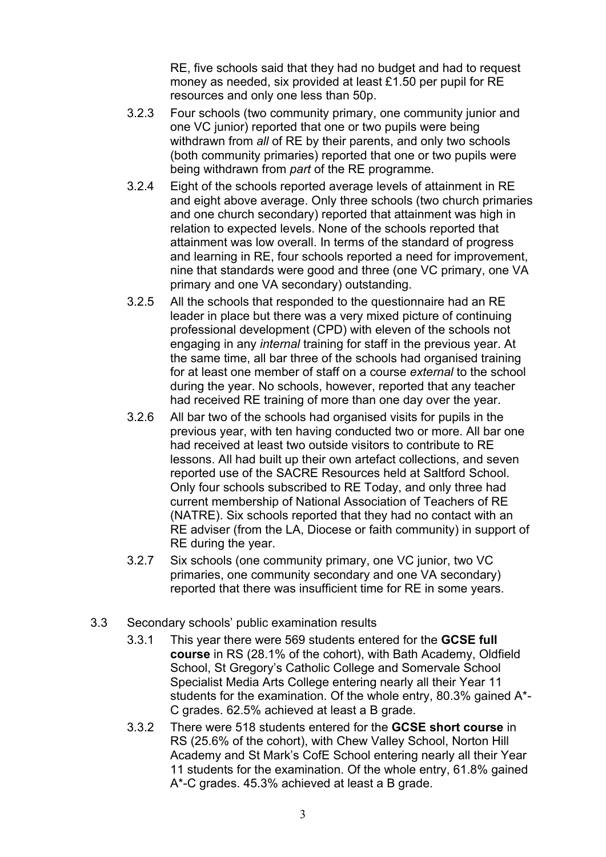RE, five schools said that they had no budget and had to request money as needed, six provided at least £1.50 per pupil for RE resources and only one less than 50p.

- 3.2.3 Four schools (two community primary, one community junior and one VC junior) reported that one or two pupils were being withdrawn from *all* of RE by their parents, and only two schools (both community primaries) reported that one or two pupils were being withdrawn from *part* of the RE programme.
- 3.2.4 Eight of the schools reported average levels of attainment in RE and eight above average. Only three schools (two church primaries and one church secondary) reported that attainment was high in relation to expected levels. None of the schools reported that attainment was low overall. In terms of the standard of progress and learning in RE, four schools reported a need for improvement, nine that standards were good and three (one VC primary, one VA primary and one VA secondary) outstanding.
- 3.2.5 All the schools that responded to the questionnaire had an RE leader in place but there was a very mixed picture of continuing professional development (CPD) with eleven of the schools not engaging in any *internal* training for staff in the previous year. At the same time, all bar three of the schools had organised training for at least one member of staff on a course *external* to the school during the year. No schools, however, reported that any teacher had received RE training of more than one day over the year.
- 3.2.6 All bar two of the schools had organised visits for pupils in the previous year, with ten having conducted two or more. All bar one had received at least two outside visitors to contribute to RE lessons. All had built up their own artefact collections, and seven reported use of the SACRE Resources held at Saltford School. Only four schools subscribed to RE Today, and only three had current membership of National Association of Teachers of RE (NATRE). Six schools reported that they had no contact with an RE adviser (from the LA, Diocese or faith community) in support of RE during the year.
- 3.2.7 Six schools (one community primary, one VC junior, two VC primaries, one community secondary and one VA secondary) reported that there was insufficient time for RE in some years.
- 3.3 Secondary schools' public examination results
	- 3.3.1 This year there were 569 students entered for the **GCSE full course** in RS (28.1% of the cohort), with Bath Academy, Oldfield School, St Gregory's Catholic College and Somervale School Specialist Media Arts College entering nearly all their Year 11 students for the examination. Of the whole entry, 80.3% gained A\*- C grades. 62.5% achieved at least a B grade.
	- 3.3.2 There were 518 students entered for the **GCSE short course** in RS (25.6% of the cohort), with Chew Valley School, Norton Hill Academy and St Mark's CofE School entering nearly all their Year 11 students for the examination. Of the whole entry, 61.8% gained A\*-C grades. 45.3% achieved at least a B grade.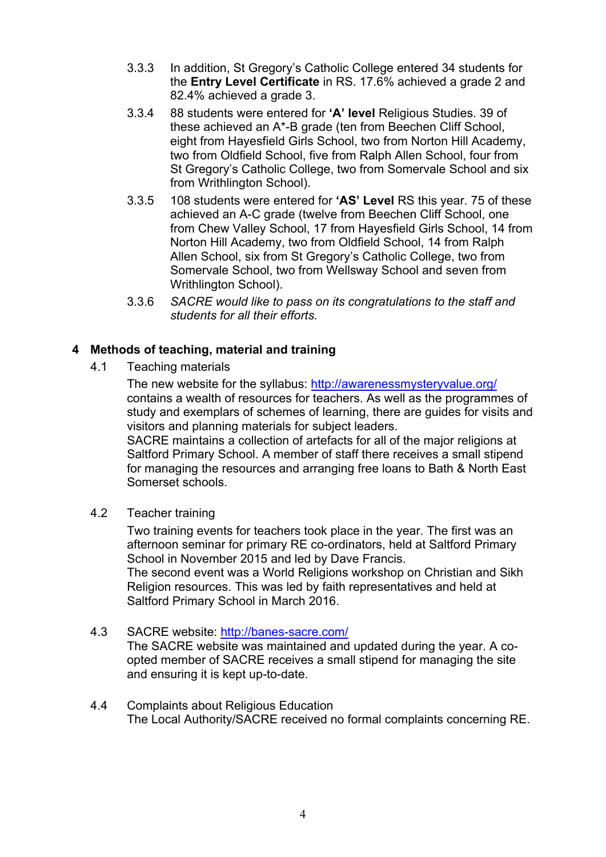- 3.3.3 In addition, St Gregory's Catholic College entered 34 students for the **Entry Level Certificate** in RS. 17.6% achieved a grade 2 and 82.4% achieved a grade 3.
- 3.3.4 88 students were entered for **'A' level** Religious Studies. 39 of these achieved an A\*-B grade (ten from Beechen Cliff School, eight from Hayesfield Girls School, two from Norton Hill Academy, two from Oldfield School, five from Ralph Allen School, four from St Gregory's Catholic College, two from Somervale School and six from Writhlington School).
- 3.3.5 108 students were entered for **'AS' Level** RS this year. 75 of these achieved an A-C grade (twelve from Beechen Cliff School, one from Chew Valley School, 17 from Hayesfield Girls School, 14 from Norton Hill Academy, two from Oldfield School, 14 from Ralph Allen School, six from St Gregory's Catholic College, two from Somervale School, two from Wellsway School and seven from Writhlington School).
- 3.3.6 *SACRE would like to pass on its congratulations to the staff and students for all their efforts.*

#### **4 Methods of teaching, material and training**

4.1 Teaching materials

The new website for the syllabus: http://awarenessmysteryvalue.org/ contains a wealth of resources for teachers. As well as the programmes of study and exemplars of schemes of learning, there are guides for visits and visitors and planning materials for subject leaders.

SACRE maintains a collection of artefacts for all of the major religions at Saltford Primary School. A member of staff there receives a small stipend for managing the resources and arranging free loans to Bath & North East Somerset schools.

4.2 Teacher training

Two training events for teachers took place in the year. The first was an afternoon seminar for primary RE co-ordinators, held at Saltford Primary School in November 2015 and led by Dave Francis. The second event was a World Religions workshop on Christian and Sikh Religion resources. This was led by faith representatives and held at Saltford Primary School in March 2016.

#### 4.3 SACRE website: http://banes-sacre.com/

The SACRE website was maintained and updated during the year. A coopted member of SACRE receives a small stipend for managing the site and ensuring it is kept up-to-date.

#### 4.4 Complaints about Religious Education The Local Authority/SACRE received no formal complaints concerning RE.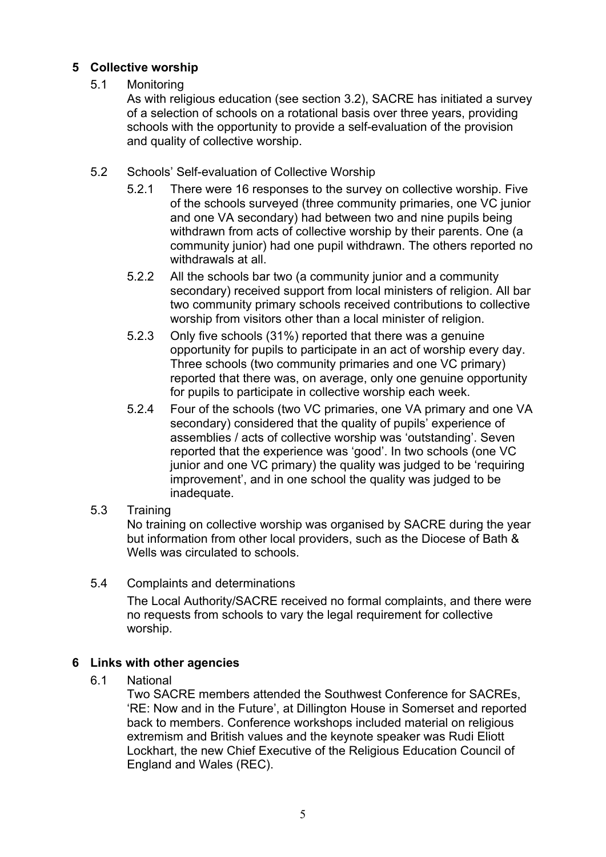#### **5 Collective worship**

#### 5.1 Monitoring

As with religious education (see section 3.2), SACRE has initiated a survey of a selection of schools on a rotational basis over three years, providing schools with the opportunity to provide a self-evaluation of the provision and quality of collective worship.

- 5.2 Schools' Self-evaluation of Collective Worship
	- 5.2.1 There were 16 responses to the survey on collective worship. Five of the schools surveyed (three community primaries, one VC junior and one VA secondary) had between two and nine pupils being withdrawn from acts of collective worship by their parents. One (a community junior) had one pupil withdrawn. The others reported no withdrawals at all.
	- 5.2.2 All the schools bar two (a community junior and a community secondary) received support from local ministers of religion. All bar two community primary schools received contributions to collective worship from visitors other than a local minister of religion.
	- 5.2.3 Only five schools (31%) reported that there was a genuine opportunity for pupils to participate in an act of worship every day. Three schools (two community primaries and one VC primary) reported that there was, on average, only one genuine opportunity for pupils to participate in collective worship each week.
	- 5.2.4 Four of the schools (two VC primaries, one VA primary and one VA secondary) considered that the quality of pupils' experience of assemblies / acts of collective worship was 'outstanding'. Seven reported that the experience was 'good'. In two schools (one VC junior and one VC primary) the quality was judged to be 'requiring improvement', and in one school the quality was judged to be inadequate.
- 5.3 Training

No training on collective worship was organised by SACRE during the year but information from other local providers, such as the Diocese of Bath & Wells was circulated to schools.

5.4 Complaints and determinations

The Local Authority/SACRE received no formal complaints, and there were no requests from schools to vary the legal requirement for collective worship.

#### **6 Links with other agencies**

6.1 National

Two SACRE members attended the Southwest Conference for SACREs, 'RE: Now and in the Future', at Dillington House in Somerset and reported back to members. Conference workshops included material on religious extremism and British values and the keynote speaker was Rudi Eliott Lockhart, the new Chief Executive of the Religious Education Council of England and Wales (REC).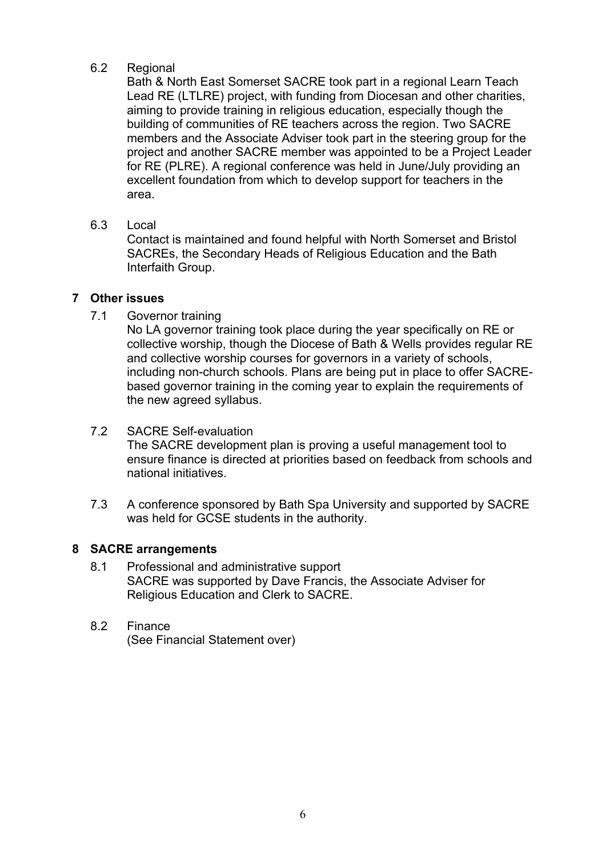#### 6.2 Regional

Bath & North East Somerset SACRE took part in a regional Learn Teach Lead RE (LTLRE) project, with funding from Diocesan and other charities, aiming to provide training in religious education, especially though the building of communities of RE teachers across the region. Two SACRE members and the Associate Adviser took part in the steering group for the project and another SACRE member was appointed to be a Project Leader for RE (PLRE). A regional conference was held in June/July providing an excellent foundation from which to develop support for teachers in the area.

6.3 Local

Contact is maintained and found helpful with North Somerset and Bristol SACREs, the Secondary Heads of Religious Education and the Bath Interfaith Group.

#### **7 Other issues**

7.1 Governor training

No LA governor training took place during the year specifically on RE or collective worship, though the Diocese of Bath & Wells provides regular RE and collective worship courses for governors in a variety of schools, including non-church schools. Plans are being put in place to offer SACREbased governor training in the coming year to explain the requirements of the new agreed syllabus.

- 7.2 SACRE Self-evaluation The SACRE development plan is proving a useful management tool to ensure finance is directed at priorities based on feedback from schools and national initiatives.
- 7.3 A conference sponsored by Bath Spa University and supported by SACRE was held for GCSE students in the authority.

#### **8 SACRE arrangements**

- 8.1 Professional and administrative support SACRE was supported by Dave Francis, the Associate Adviser for Religious Education and Clerk to SACRE.
- 8.2 Finance

(See Financial Statement over)